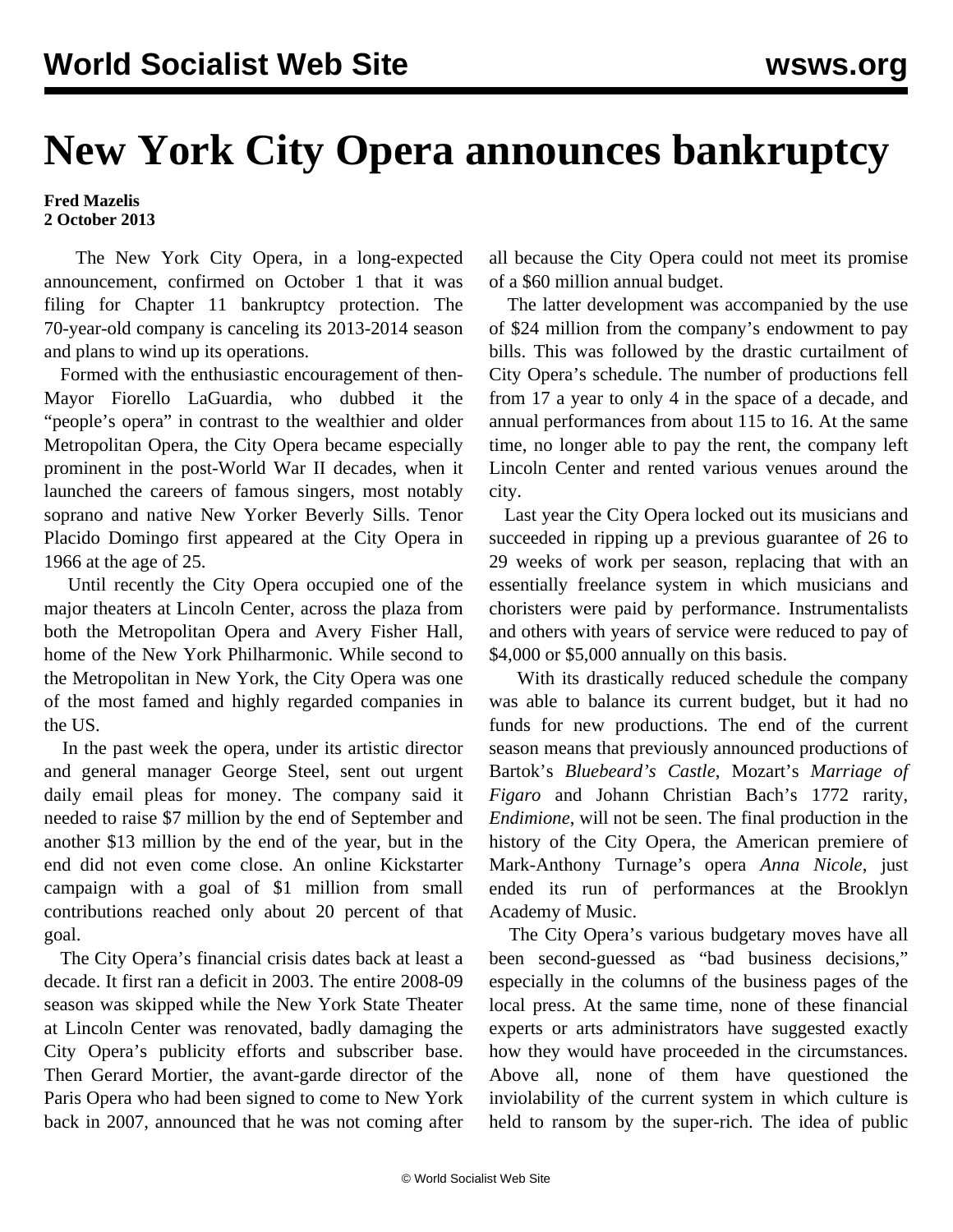## **New York City Opera announces bankruptcy**

## **Fred Mazelis 2 October 2013**

 The New York City Opera, in a long-expected announcement, confirmed on October 1 that it was filing for Chapter 11 bankruptcy protection. The 70-year-old company is canceling its 2013-2014 season and plans to wind up its operations.

 Formed with the enthusiastic encouragement of then-Mayor Fiorello LaGuardia, who dubbed it the "people's opera" in contrast to the wealthier and older Metropolitan Opera, the City Opera became especially prominent in the post-World War II decades, when it launched the careers of famous singers, most notably soprano and native New Yorker Beverly Sills. Tenor Placido Domingo first appeared at the City Opera in 1966 at the age of 25.

 Until recently the City Opera occupied one of the major theaters at Lincoln Center, across the plaza from both the Metropolitan Opera and Avery Fisher Hall, home of the New York Philharmonic. While second to the Metropolitan in New York, the City Opera was one of the most famed and highly regarded companies in the US.

 In the past week the opera, under its artistic director and general manager George Steel, sent out urgent daily email pleas for money. The company said it needed to raise \$7 million by the end of September and another \$13 million by the end of the year, but in the end did not even come close. An online Kickstarter campaign with a goal of \$1 million from small contributions reached only about 20 percent of that goal.

 The City Opera's financial crisis dates back at least a decade. It first ran a deficit in 2003. The entire 2008-09 season was skipped while the New York State Theater at Lincoln Center was renovated, badly damaging the City Opera's publicity efforts and subscriber base. Then Gerard Mortier, the avant-garde director of the Paris Opera who had been signed to come to New York back in 2007, announced that he was not coming after all because the City Opera could not meet its promise of a \$60 million annual budget.

 The latter development was accompanied by the use of \$24 million from the company's endowment to pay bills. This was followed by the drastic curtailment of City Opera's schedule. The number of productions fell from 17 a year to only 4 in the space of a decade, and annual performances from about 115 to 16. At the same time, no longer able to pay the rent, the company left Lincoln Center and rented various venues around the city.

 Last year the City Opera locked out its musicians and succeeded in ripping up a previous guarantee of 26 to 29 weeks of work per season, replacing that with an essentially freelance system in which musicians and choristers were paid by performance. Instrumentalists and others with years of service were reduced to pay of \$4,000 or \$5,000 annually on this basis.

 With its drastically reduced schedule the company was able to balance its current budget, but it had no funds for new productions. The end of the current season means that previously announced productions of Bartok's *Bluebeard's Castle*, Mozart's *Marriage of Figaro* and Johann Christian Bach's 1772 rarity, *Endimione*, will not be seen. The final production in the history of the City Opera, the American premiere of Mark-Anthony Turnage's opera *Anna Nicole*, just ended its run of performances at the Brooklyn Academy of Music.

 The City Opera's various budgetary moves have all been second-guessed as "bad business decisions," especially in the columns of the business pages of the local press. At the same time, none of these financial experts or arts administrators have suggested exactly how they would have proceeded in the circumstances. Above all, none of them have questioned the inviolability of the current system in which culture is held to ransom by the super-rich. The idea of public